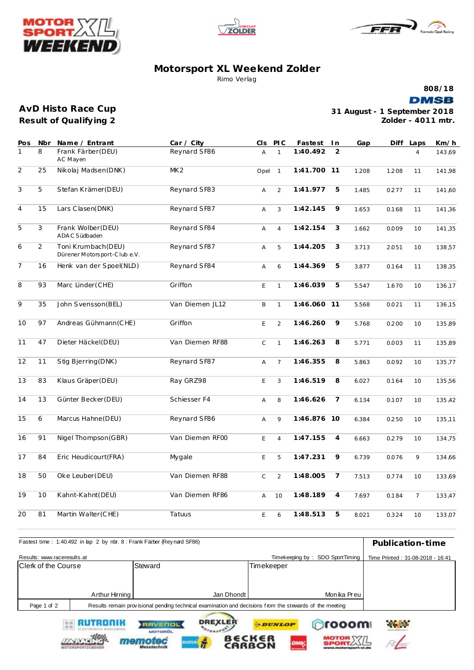





## **Motorsport XL Weekend Zolder**

Rimo Verlag

**808/18**

**DMSB** 

## **AvD Histo Race Cup**

**Result of Qualify ing 2**

田田

**TARY NE** 

RUTRONIK

**31 August - 1 September 2018 Zolder - 4011 mtr.**

| Pos            | Nbr            | Name / Entrant                                     | Car / City      | Cls            | <b>PIC</b>     | Fastest     | In             | Gap   | Diff  | Laps           | Km/h   |
|----------------|----------------|----------------------------------------------------|-----------------|----------------|----------------|-------------|----------------|-------|-------|----------------|--------|
| 1              | 8              | Frank Färber (DEU)<br>AC Mayen                     | Reynard SF86    | $\overline{A}$ | $\mathbf{1}$   | 1:40.492    | 2              |       |       | $\overline{4}$ | 143,69 |
| 2              | 25             | Nikolaj Madsen(DNK)                                | MK <sub>2</sub> | Opel           | $\overline{1}$ | 1:41.700 11 |                | 1.208 | 1.208 | 11             | 141,98 |
| 3              | 5              | Stefan Krämer (DEU)                                | Reynard SF83    | $\overline{A}$ | $\overline{2}$ | 1:41.977    | 5              | 1.485 | 0.277 | 11             | 141,60 |
| $\overline{4}$ | 15             | Lars Clasen(DNK)                                   | Reynard SF87    | Α              | 3              | 1:42.145    | 9              | 1.653 | 0.168 | 11             | 141,36 |
| $\overline{5}$ | 3              | Frank Wolber (DEU)<br>ADAC Südbaden                | Reynard SF84    | Α              | $\overline{4}$ | 1:42.154    | 3              | 1.662 | 0.009 | 10             | 141,35 |
| 6              | $\overline{2}$ | Toni Krumbach (DEU)<br>Dürener Motorsport-Clube.V. | Reynard SF87    | Α              | 5              | 1:44.205    | 3              | 3.713 | 2.051 | 10             | 138,57 |
| 7              | 16             | Henk van der Spoel(NLD)                            | Reynard SF84    | A              | 6              | 1:44.369    | 5              | 3.877 | 0.164 | 11             | 138,35 |
| 8              | 93             | Marc Linder (CHE)                                  | Griffon         | E              | $\mathbf{1}$   | 1:46.039    | 5              | 5.547 | 1.670 | 10             | 136,17 |
| $\overline{9}$ | 35             | John Svensson(BEL)                                 | Van Diemen JL12 | B              | $\mathbf{1}$   | 1:46.060 11 |                | 5.568 | 0.021 | 11             | 136,15 |
| 10             | 97             | Andreas Gühmann (CHE)                              | Griffon         | Ε              | 2              | 1:46.260    | $\overline{9}$ | 5.768 | 0.200 | 10             | 135,89 |
| 11             | 47             | Dieter Häckel(DEU)                                 | Van Diemen RF88 | $\mathsf C$    | $\mathbf{1}$   | 1:46.263    | 8              | 5.771 | 0.003 | 11             | 135,89 |
| 12             | 11             | Stig Bjerring(DNK)                                 | Reynard SF87    | Α              | $\overline{7}$ | 1:46.355    | 8              | 5.863 | 0.092 | 10             | 135,77 |
| 13             | 83             | Klaus Gräper (DEU)                                 | Ray GRZ98       | $\mathsf E$    | 3              | 1:46.519    | 8              | 6.027 | 0.164 | 10             | 135,56 |
| 14             | 13             | Günter Becker (DEU)                                | Schiesser F4    | $\overline{A}$ | 8              | 1:46.626    | 7              | 6.134 | 0.107 | 10             | 135,42 |
| 15             | 6              | Marcus Hahne (DEU)                                 | Reynard SF86    | Α              | 9              | 1:46.876    | 10             | 6.384 | 0.250 | 10             | 135,11 |
| 16             | 91             | Nigel Thompson(GBR)                                | Van Diemen RF00 | E              | $\overline{4}$ | 1:47.155    | $\overline{4}$ | 6.663 | 0.279 | 10             | 134,75 |
| 17             | 84             | Eric Heudicourt(FRA)                               | Mygale          | E              | 5              | 1:47.231    | 9              | 6.739 | 0.076 | 9              | 134,66 |
| 18             | 50             | Oke Leuber (DEU)                                   | Van Diemen RF88 | $\mathsf{C}$   | $\overline{2}$ | 1:48.005    | 7              | 7.513 | 0.774 | 10             | 133,69 |
| 19             | 10             | Kahnt-Kahnt(DEU)                                   | Van Diemen RF86 | $\overline{A}$ | 10             | 1:48.189    | $\overline{4}$ | 7.697 | 0.184 | $\overline{7}$ | 133,47 |
| 20             | 81             | Martin Walter (CHE)                                | Tatuus          | $\mathsf E$    | 6              | 1:48.513    | 5              | 8.021 | 0.324 | 10             | 133,07 |

| Timekeeping by: SDO SportTiming<br>Time Printed: 31-08-2018 - 16:41                                     |
|---------------------------------------------------------------------------------------------------------|
|                                                                                                         |
|                                                                                                         |
|                                                                                                         |
|                                                                                                         |
| Monika Preul                                                                                            |
| Results remain provisional pending technical examination and decisions from the stewards of the meeting |
|                                                                                                         |

**BECKEL** 

**ODUNLOP** 

DREXLER

OFORSPORT

iustri

RAVENOL

memotec